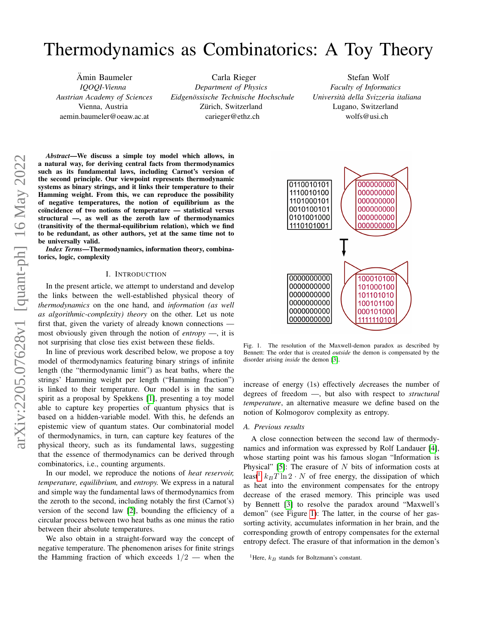# Thermodynamics as Combinatorics: A Toy Theory

Ämin Baumeler *IQOQI-Vienna Austrian Academy of Sciences* Vienna, Austria aemin.baumeler@oeaw.ac.at

Carla Rieger *Department of Physics Eidgenossische Technische Hochschule ¨* Zürich, Switzerland carieger@ethz.ch

Stefan Wolf *Faculty of Informatics Universita della Svizzeria italiana `* Lugano, Switzerland wolfs@usi.ch

*Abstract*—We discuss a simple toy model which allows, in a natural way, for deriving central facts from thermodynamics such as its fundamental laws, including Carnot's version of the second principle. Our viewpoint represents thermodynamic systems as binary strings, and it links their temperature to their Hamming weight. From this, we can reproduce the possibility of negative temperatures, the notion of equilibrium as the coïncidence of two notions of temperature - statistical versus structural —, as well as the zeroth law of thermodynamics (transitivity of the thermal-equilibrium relation), which we find to be redundant, as other authors, yet at the same time not to be universally valid.

*Index Terms*—Thermodynamics, information theory, combinatorics, logic, complexity

## I. INTRODUCTION

In the present article, we attempt to understand and develop the links between the well-established physical theory of *thermodynamics* on the one hand, and *information (as well as algorithmic-complexity) theory* on the other. Let us note first that, given the variety of already known connections most obviously given through the notion of *entropy* —, it is not surprising that close ties exist between these fields.

In line of previous work described below, we propose a toy model of thermodynamics featuring binary strings of infinite length (the "thermodynamic limit") as heat baths, where the strings' Hamming weight per length ("Hamming fraction") is linked to their temperature. Our model is in the same spirit as a proposal by Spekkens [\[1\]](#page-5-0), presenting a toy model able to capture key properties of quantum physics that is based on a hidden-variable model. With this, he defends an epistemic view of quantum states. Our combinatorial model of thermodynamics, in turn, can capture key features of the physical theory, such as its fundamental laws, suggesting that the essence of thermodynamics can be derived through combinatorics, i.e., counting arguments.

In our model, we reproduce the notions of *heat reservoir, temperature, equilibrium,* and *entropy.* We express in a natural and simple way the fundamental laws of thermodynamics from the zeroth to the second, including notably the first (Carnot's) version of the second law [\[2\]](#page-5-1), bounding the efficiency of a circular process between two heat baths as one minus the ratio between their absolute temperatures.

We also obtain in a straight-forward way the concept of negative temperature. The phenomenon arises for finite strings the Hamming fraction of which exceeds  $1/2$  — when the



<span id="page-0-1"></span>Fig. 1. The resolution of the Maxwell-demon paradox as described by Bennett: The order that is created *outside* the demon is compensated by the disorder arising *inside* the demon [\[3\]](#page-5-2).

increase of energy (1s) effectively *de*creases the number of degrees of freedom —, but also with respect to *structural temperature*, an alternative measure we define based on the notion of Kolmogorov complexity as entropy.

#### *A. Previous results*

A close connection between the second law of thermodynamics and information was expressed by Rolf Landauer [\[4\]](#page-5-3), whose starting point was his famous slogan "Information is Physical" [\[5\]](#page-5-4): The erasure of  $N$  bits of information costs at least<sup>[1](#page-0-0)</sup>  $k_BT \ln 2 \cdot N$  of free energy, the dissipation of which as heat into the environment compensates for the entropy decrease of the erased memory. This principle was used by Bennett [\[3\]](#page-5-2) to resolve the paradox around "Maxwell's demon" (see Figure [1\)](#page-0-1): The latter, in the course of her gassorting activity, accumulates information in her brain, and the corresponding growth of entropy compensates for the external entropy defect. The erasure of that information in the demon's

<span id="page-0-0"></span><sup>&</sup>lt;sup>1</sup>Here,  $k_B$  stands for Boltzmann's constant.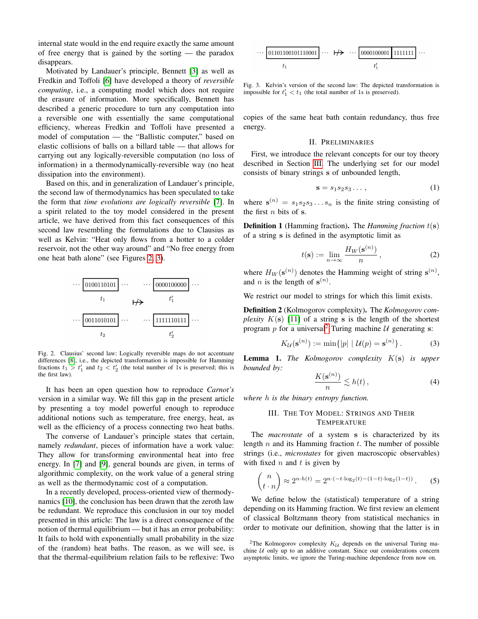internal state would in the end require exactly the same amount of free energy that is gained by the sorting — the paradox disappears.

Motivated by Landauer's principle, Bennett [\[3\]](#page-5-2) as well as Fredkin and Toffoli [\[6\]](#page-5-5) have developed a theory of *reversible computing*, i.e., a computing model which does not require the erasure of information. More specifically, Bennett has described a generic procedure to turn any computation into a reversible one with essentially the same computational efficiency, whereas Fredkin and Toffoli have presented a model of computation — the "Ballistic computer," based on elastic collisions of balls on a billard table — that allows for carrying out any logically-reversible computation (no loss of information) in a thermodynamically-reversible way (no heat dissipation into the environment).

Based on this, and in generalization of Landauer's principle, the second law of thermodynamics has been speculated to take the form that *time evolutions are logically reversible* [\[7\]](#page-5-6). In a spirit related to the toy model considered in the present article, we have derived from this fact consequences of this second law resembling the formulations due to Clausius as well as Kelvin: "Heat only flows from a hotter to a colder reservoir, not the other way around" and "No free energy from one heat bath alone" (see Figures [2,](#page-1-0) [3\)](#page-1-1).



<span id="page-1-0"></span>Fig. 2. Clausius' second law: Logically reversible maps do not accentuate differences [\[8\]](#page-5-7), i.e., the depicted transformation is impossible for Hamming fractions  $t_1 > t_1'$  and  $t_2 < t_2'$  (the total number of 1s is preserved; this is the first law).

It has been an open question how to reproduce *Carnot's* version in a similar way. We fill this gap in the present article by presenting a toy model powerful enough to reproduce additional notions such as temperature, free energy, heat, as well as the efficiency of a process connecting two heat baths.

The converse of Landauer's principle states that certain, namely *redundant*, pieces of information have a work value: They allow for transforming environmental heat into free energy. In [\[7\]](#page-5-6) and [\[9\]](#page-5-8), general bounds are given, in terms of algorithmic complexity, on the work value of a general string as well as the thermodynamic cost of a computation.

In a recently developed, process-oriented view of thermodynamics [\[10\]](#page-5-9), the conclusion has been drawn that the zeroth law be redundant. We reproduce this conclusion in our toy model presented in this article: The law is a direct consequence of the notion of thermal equilibrium — but it has an error probability: It fails to hold with exponentially small probability in the size of the (random) heat baths. The reason, as we will see, is that the thermal-equilibrium relation fails to be reflexive: Two

$$
\cdots \underbrace{ 01101100101110001 }_{t_1} \cdots \underbrace{ \mapsto }_{t'_1} \cdots \underbrace{ 0000100001 }_{t'_1} \underbrace{ 1111111 }_{11} \cdots
$$

<span id="page-1-1"></span>Fig. 3. Kelvin's version of the second law: The depicted transformation is impossible for  $t'_1 < t_1$  (the total number of 1s is preserved).

copies of the same heat bath contain redundancy, thus free energy.

#### II. PRELIMINARIES

First, we introduce the relevant concepts for our toy theory described in Section [III.](#page-1-2) The underlying set for our model consists of binary strings s of unbounded length,

$$
\mathbf{s} = s_1 s_2 s_3 \dots \,,\tag{1}
$$

where  $\mathbf{s}^{(n)} = s_1 s_2 s_3 \dots s_n$  is the finite string consisting of the first  $n$  bits of s.

Definition 1 (Hamming fraction). The *Hamming fraction* t(s) of a string s is defined in the asymptotic limit as

$$
t(\mathbf{s}) := \lim_{n \to \infty} \frac{H_W(\mathbf{s}^{(n)})}{n},\tag{2}
$$

where  $H_W(\mathbf{s}^{(n)})$  denotes the Hamming weight of string  $\mathbf{s}^{(n)}$ , and *n* is the length of  $\mathbf{s}^{(n)}$ .

We restrict our model to strings for which this limit exists.

Definition 2 (Kolmogorov complexity). The *Kolmogorov complexity*  $K(s)$  [\[11\]](#page-5-10) of a string s is the length of the shortest program p for a universal<sup>[2](#page-1-3)</sup> Turing machine  $U$  generating s:

$$
K_{\mathcal{U}}(\mathbf{s}^{(n)}) := \min\{|p| \mid \mathcal{U}(p) = \mathbf{s}^{(n)}\}.
$$
 (3)

Lemma 1. *The Kolmogorov complexity* K(s) *is upper bounded by:*

$$
\frac{K(\mathbf{s}^{(n)})}{n} \lesssim h(t)\,,\tag{4}
$$

<span id="page-1-2"></span>*where* h *is the binary entropy function.*

# III. THE TOY MODEL: STRINGS AND THEIR TEMPERATURE

The *macrostate* of a system s is characterized by its length  $n$  and its Hamming fraction  $t$ . The number of possible strings (i.e., *microstates* for given macroscopic observables) with fixed  $n$  and  $t$  is given by

$$
\binom{n}{t \cdot n} \approx 2^{n \cdot h(t)} = 2^{n \cdot (-t \cdot \log_2(t) - (1-t) \cdot \log_2(1-t))}.
$$
 (5)

We define below the (statistical) temperature of a string depending on its Hamming fraction. We first review an element of classical Boltzmann theory from statistical mechanics in order to motivate our definition, showing that the latter is in

<span id="page-1-3"></span><sup>&</sup>lt;sup>2</sup>The Kolmogorov complexity  $K_{\mathcal{U}}$  depends on the universal Turing machine  $U$  only up to an additive constant. Since our considerations concern asymptotic limits, we ignore the Turing-machine dependence from now on.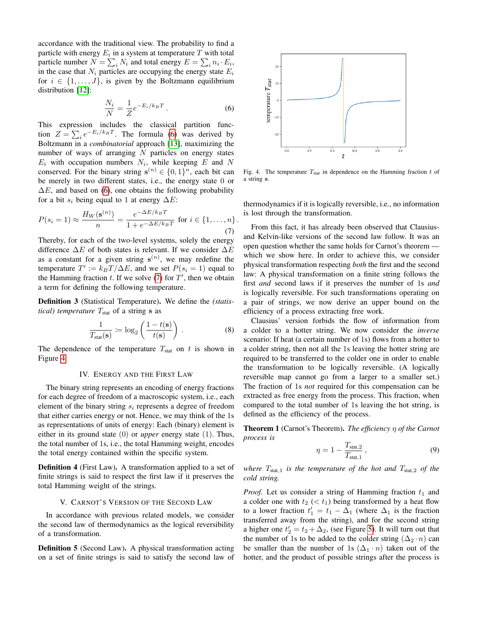accordance with the traditional view. The probability to find a particle with energy  $E_i$  in a system at temperature  $T$  with total particle number  $N = \sum_i N_i$  and total energy  $E = \sum_i n_i \cdot E_i$ , in the case that  $N_i$  particles are occupying the energy state  $E_i$ for  $i \in \{1, \ldots, J\}$ , is given by the Boltzmann equilibrium distribution [\[12\]](#page-5-11):

<span id="page-2-0"></span>
$$
\frac{N_i}{N} = \frac{1}{Z} e^{-E_i/k_B T}.
$$
\n
$$
(6)
$$

This expression includes the classical partition function  $Z = \sum_i e^{-E_i/k_B T}$ . The formula [\(6\)](#page-2-0) was derived by Boltzmann in a *combinatorial* approach [\[13\]](#page-5-12), maximizing the number of ways of arranging  $N$  particles on energy states  $E_i$  with occupation numbers  $N_i$ , while keeping E and N conserved. For the binary string  $s^{(n)} \in \{0, 1\}^n$ , each bit can be merely in two different states, i.e., the energy state 0 or  $\Delta E$ , and based on [\(6\)](#page-2-0), one obtains the following probability for a bit  $s_i$  being equal to 1 at energy  $\Delta E$ :

<span id="page-2-1"></span>
$$
P(s_i = 1) \approx \frac{H_W(\mathbf{s}^{(n)})}{n} = \frac{e^{-\Delta E/k_B T}}{1 + e^{-\Delta E/k_B T}} \text{ for } i \in \{1, \dots, n\}.
$$
\n
$$
(7)
$$

Thereby, for each of the two-level systems, solely the energy difference  $\Delta E$  of both states is relevant. If we consider  $\Delta E$ as a constant for a given string  $s^{(n)}$ , we may redefine the temperature  $T' := k_B T / \Delta E$ , and we set  $P(s_i = 1)$  equal to the Hamming fraction  $t$ . If we solve [\(7\)](#page-2-1) for  $T'$ , then we obtain a term for defining the following temperature.

Definition 3 (Statistical Temperature). We define the *(statistical) temperature*  $T_{\text{stat}}$  of a string s as

$$
\frac{1}{T_{\text{stat}}(\mathbf{s})} \coloneqq \log_2 \left( \frac{1 - t(\mathbf{s})}{t(\mathbf{s})} \right) . \tag{8}
$$

The dependence of the temperature  $T_{\text{stat}}$  on t is shown in Figure [4.](#page-2-2)

#### IV. ENERGY AND THE FIRST LAW

The binary string represents an encoding of energy fractions for each degree of freedom of a macroscopic system, i.e., each element of the binary string  $s_i$  represents a degree of freedom that either carries energy or not. Hence, we may think of the 1s as representations of units of energy: Each (binary) element is either in its ground state (0) or *upper* energy state (1). Thus, the total number of 1s, i.e., the total Hamming weight, encodes the total energy contained within the specific system.

Definition 4 (First Law). A transformation applied to a set of finite strings is said to respect the first law if it preserves the total Hamming weight of the strings.

# V. CARNOT'S VERSION OF THE SECOND LAW

In accordance with previous related models, we consider the second law of thermodynamics as the logical reversibility of a transformation.

Definition 5 (Second Law). A physical transformation acting on a set of finite strings is said to satisfy the second law of



<span id="page-2-2"></span>Fig. 4. The temperature  $T_{stat}$  in dependence on the Hamming fraction  $t$  of a string s.

thermodynamics if it is logically reversible, i.e., no information is lost through the transformation.

From this fact, it has already been observed that Clausiusand Kelvin-like versions of the second law follow. It was an open question whether the same holds for Carnot's theorem which we show here. In order to achieve this, we consider physical transformation respecting *both* the first and the second law: A physical transformation on a finite string follows the first *and* second laws if it preserves the number of 1s *and* is logically reversible. For such transformations operating on a pair of strings, we now derive an upper bound on the efficiency of a process extracting free work.

Clausius' version forbids the flow of information from a colder to a hotter string. We now consider the *inverse* scenario: If heat (a certain number of 1s) flows from a hotter to a colder string, then not all the 1s leaving the hotter string are required to be transferred to the colder one in order to enable the transformation to be logically reversible. (A logically reversible map cannot go from a larger to a smaller set.) The fraction of 1s *not* required for this compensation can be extracted as free energy from the process. This fraction, when compared to the total number of 1s leaving the hot string, is defined as the efficiency of the process.

Theorem 1 (Carnot's Theorem). *The efficiency* η *of the Carnot process is*

$$
\eta = 1 - \frac{T_{\text{stat},2}}{T_{\text{stat},1}}\,,\tag{9}
$$

*where*  $T_{\text{stat},1}$  *is the temperature of the hot and*  $T_{\text{stat},2}$  *of the cold string.*

*Proof.* Let us consider a string of Hamming fraction  $t_1$  and a colder one with  $t_2 \, \langle \, \langle \, t_1 \rangle$  being transformed by a heat flow to a lower fraction  $t'_1 = t_1 - \Delta_1$  (where  $\Delta_1$  is the fraction transferred away from the string), and for the second string a higher one  $t'_2 = t_2 + \Delta_2$ , (see Figure [5\)](#page-3-0). It will turn out that the number of 1s to be added to the colder string  $(\Delta_2 \cdot n)$  can be smaller than the number of 1s  $(\Delta_1 \cdot n)$  taken out of the hotter, and the product of possible strings after the process is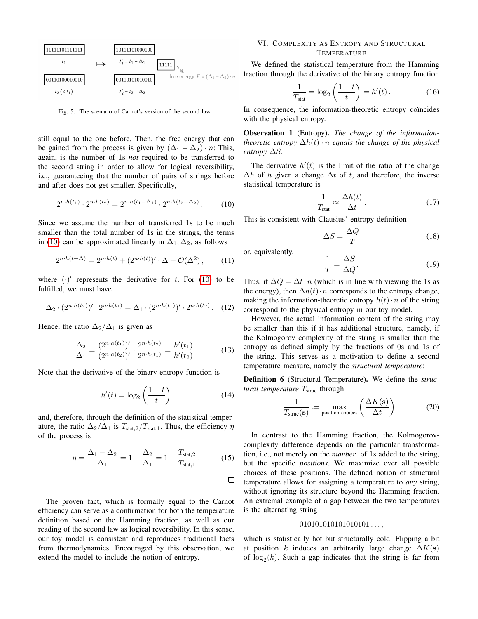

<span id="page-3-0"></span>Fig. 5. The scenario of Carnot's version of the second law.

still equal to the one before. Then, the free energy that can be gained from the process is given by  $(\Delta_1 - \Delta_2) \cdot n$ : This, again, is the number of 1s *not* required to be transferred to the second string in order to allow for logical reversibility, i.e., guaranteeing that the number of pairs of strings before and after does not get smaller. Specifically,

<span id="page-3-1"></span>
$$
2^{n \cdot h(t_1)} \cdot 2^{n \cdot h(t_2)} = 2^{n \cdot h(t_1 - \Delta_1)} \cdot 2^{n \cdot h(t_2 + \Delta_2)}.
$$
 (10)

Since we assume the number of transferred 1s to be much smaller than the total number of 1s in the strings, the terms in [\(10\)](#page-3-1) can be approximated linearly in  $\Delta_1, \Delta_2$ , as follows

$$
2^{n \cdot h(t+\Delta)} = 2^{n \cdot h(t)} + (2^{n \cdot h(t)})' \cdot \Delta + \mathcal{O}(\Delta^2), \quad (11)
$$

where  $(\cdot)'$  represents the derivative for t. For [\(10\)](#page-3-1) to be fulfilled, we must have

$$
\Delta_2 \cdot (2^{n \cdot h(t_2)})' \cdot 2^{n \cdot h(t_1)} = \Delta_1 \cdot (2^{n \cdot h(t_1)})' \cdot 2^{n \cdot h(t_2)}.
$$
 (12)

Hence, the ratio  $\Delta_2/\Delta_1$  is given as

$$
\frac{\Delta_2}{\Delta_1} = \frac{(2^{n \cdot h(t_1)})'}{(2^{n \cdot h(t_2)})'} \cdot \frac{2^{n \cdot h(t_2)}}{2^{n \cdot h(t_1)}} = \frac{h'(t_1)}{h'(t_2)}.
$$
 (13)

Note that the derivative of the binary-entropy function is

$$
h'(t) = \log_2\left(\frac{1-t}{t}\right) \tag{14}
$$

and, therefore, through the definition of the statistical temperature, the ratio  $\Delta_2/\Delta_1$  is  $T_{\text{stat},2}/T_{\text{stat},1}$ . Thus, the efficiency  $\eta$ of the process is

$$
\eta = \frac{\Delta_1 - \Delta_2}{\Delta_1} = 1 - \frac{\Delta_2}{\Delta_1} = 1 - \frac{T_{\text{stat},2}}{T_{\text{stat},1}}.
$$
 (15)

 $\Box$ 

The proven fact, which is formally equal to the Carnot efficiency can serve as a confirmation for both the temperature definition based on the Hamming fraction, as well as our reading of the second law as logical reversibility. In this sense, our toy model is consistent and reproduces traditional facts from thermodynamics. Encouraged by this observation, we extend the model to include the notion of entropy.

## VI. COMPLEXITY AS ENTROPY AND STRUCTURAL **TEMPERATURE**

We defined the statistical temperature from the Hamming fraction through the derivative of the binary entropy function

$$
\frac{1}{T_{\text{stat}}} = \log_2\left(\frac{1-t}{t}\right) = h'(t) \,. \tag{16}
$$

In consequence, the information-theoretic entropy coïncides with the physical entropy.

Observation 1 (Entropy). *The change of the informationtheoretic entropy*  $\Delta h(t) \cdot n$  *equals the change of the physical entropy* ∆S*.*

The derivative  $h'(t)$  is the limit of the ratio of the change  $\Delta h$  of h given a change  $\Delta t$  of t, and therefore, the inverse statistical temperature is

$$
\frac{1}{T_{\text{stat}}} \approx \frac{\Delta h(t)}{\Delta t} \,. \tag{17}
$$

This is consistent with Clausius' entropy definition

$$
\Delta S = \frac{\Delta Q}{T} \tag{18}
$$

or, equivalently,

$$
\frac{1}{T} = \frac{\Delta S}{\Delta Q}.\tag{19}
$$

Thus, if  $\Delta Q = \Delta t \cdot n$  (which is in line with viewing the 1s as the energy), then  $\Delta h(t) \cdot n$  corresponds to the entropy change, making the information-theoretic entropy  $h(t) \cdot n$  of the string correspond to the physical entropy in our toy model.

However, the actual information content of the string may be smaller than this if it has additional structure, namely, if the Kolmogorov complexity of the string is smaller than the entropy as defined simply by the fractions of 0s and 1s of the string. This serves as a motivation to define a second temperature measure, namely the *structural temperature*:

Definition 6 (Structural Temperature). We define the *structural temperature*  $T_{\text{struc}}$  through

$$
\frac{1}{T_{\text{struc}}(\mathbf{s})} := \max_{\text{position choices}} \left( \frac{\Delta K(\mathbf{s})}{\Delta t} \right) . \tag{20}
$$

In contrast to the Hamming fraction, the Kolmogorovcomplexity difference depends on the particular transformation, i.e., not merely on the *number* of 1s added to the string, but the specific *positions*. We maximize over all possible choices of these positions. The defined notion of structural temperature allows for assigning a temperature to *any* string, without ignoring its structure beyond the Hamming fraction. An extremal example of a gap between the two temperatures is the alternating string

# $010101010101010101...$

which is statistically hot but structurally cold: Flipping a bit at position k induces an arbitrarily large change  $\Delta K(s)$ of  $log_2(k)$ . Such a gap indicates that the string is far from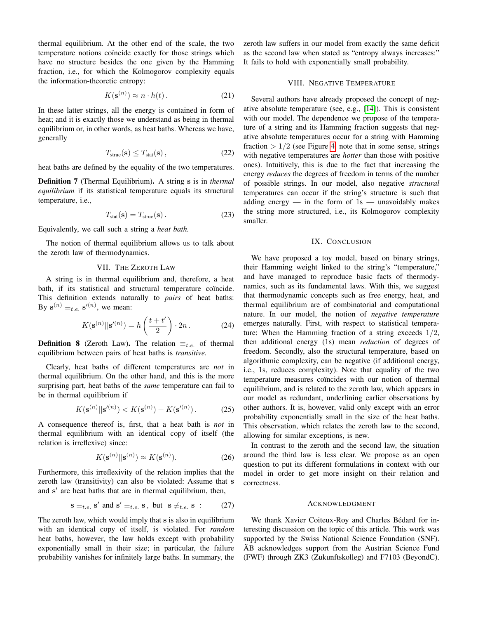thermal equilibrium. At the other end of the scale, the two temperature notions coïncide exactly for those strings which have no structure besides the one given by the Hamming fraction, i.e., for which the Kolmogorov complexity equals the information-theoretic entropy:

$$
K(\mathbf{s}^{(n)}) \approx n \cdot h(t). \tag{21}
$$

In these latter strings, all the energy is contained in form of heat; and it is exactly those we understand as being in thermal equilibrium or, in other words, as heat baths. Whereas we have, generally

$$
T_{\text{struc}}(\mathbf{s}) \le T_{\text{stat}}(\mathbf{s})\,,\tag{22}
$$

heat baths are defined by the equality of the two temperatures.

Definition 7 (Thermal Equilibrium). A string s is in *thermal equilibrium* if its statistical temperature equals its structural temperature, i.e.,

$$
T_{\text{stat}}(\mathbf{s}) = T_{\text{struc}}(\mathbf{s}) \,. \tag{23}
$$

Equivalently, we call such a string a *heat bath.*

The notion of thermal equilibrium allows us to talk about the zeroth law of thermodynamics.

# VII. THE ZEROTH LAW

A string is in thermal equilibrium and, therefore, a heat bath, if its statistical and structural temperature coïncide. This definition extends naturally to *pairs* of heat baths: By  $\mathbf{s}^{(n)} \equiv_{t.e.} \mathbf{s}'^{(n)}$ , we mean:

$$
K(\mathbf{s}^{(n)}||\mathbf{s}^{\prime(n)}) = h\left(\frac{t+t'}{2}\right) \cdot 2n. \tag{24}
$$

**Definition 8** (Zeroth Law). The relation  $\equiv_{t.e.}$  of thermal equilibrium between pairs of heat baths is *transitive.*

Clearly, heat baths of different temperatures are *not* in thermal equilibrium. On the other hand, and this is the more surprising part, heat baths of the *same* temperature can fail to be in thermal equilibrium if

$$
K(\mathbf{s}^{(n)}||\mathbf{s}^{\prime(n)}) < K(\mathbf{s}^{(n)}) + K(\mathbf{s}^{\prime(n)})\,. \tag{25}
$$

A consequence thereof is, first, that a heat bath is *not* in thermal equilibrium with an identical copy of itself (the relation is irreflexive) since:

$$
K(\mathbf{s}^{(n)}||\mathbf{s}^{(n)}) \approx K(\mathbf{s}^{(n)}).
$$
 (26)

Furthermore, this irreflexivity of the relation implies that the zeroth law (transitivity) can also be violated: Assume that s and s' are heat baths that are in thermal equilibrium, then,

$$
\mathbf{s} \equiv_{t.e.} \mathbf{s}' \text{ and } \mathbf{s}' \equiv_{t.e.} \mathbf{s}, \text{ but } \mathbf{s} \not\equiv_{t.e.} \mathbf{s} \tag{27}
$$

The zeroth law, which would imply that s is also in equilibrium with an identical copy of itself, is violated. For *random* heat baths, however, the law holds except with probability exponentially small in their size; in particular, the failure probability vanishes for infinitely large baths. In summary, the zeroth law suffers in our model from exactly the same deficit as the second law when stated as "entropy always increases:" It fails to hold with exponentially small probability.

### VIII. NEGATIVE TEMPERATURE

Several authors have already proposed the concept of negative absolute temperature (see, e.g., [\[14\]](#page-5-13)). This is consistent with our model. The dependence we propose of the temperature of a string and its Hamming fraction suggests that negative absolute temperatures occur for a string with Hamming fraction  $> 1/2$  (see Figure [4,](#page-2-2) note that in some sense, strings with negative temperatures are *hotter* than those with positive ones). Intuitively, this is due to the fact that increasing the energy *reduces* the degrees of freedom in terms of the number of possible strings. In our model, also negative *structural* temperatures can occur if the string's structure is such that adding energy  $-$  in the form of  $1s$   $-$  unavoidably makes the string more structured, i.e., its Kolmogorov complexity smaller.

#### IX. CONCLUSION

We have proposed a toy model, based on binary strings, their Hamming weight linked to the string's "temperature," and have managed to reproduce basic facts of thermodynamics, such as its fundamental laws. With this, we suggest that thermodynamic concepts such as free energy, heat, and thermal equilibrium are of combinatorial and computational nature. In our model, the notion of *negative temperature* emerges naturally. First, with respect to statistical temperature: When the Hamming fraction of a string exceeds  $1/2$ , then additional energy (1s) mean *reduction* of degrees of freedom. Secondly, also the structural temperature, based on algorithmic complexity, can be negative (if additional energy, i.e., 1s, reduces complexity). Note that equality of the two temperature measures coïncides with our notion of thermal equilibrium, and is related to the zeroth law, which appears in our model as redundant, underlining earlier observations by other authors. It is, however, valid only except with an error probability exponentially small in the size of the heat baths. This observation, which relates the zeroth law to the second, allowing for similar exceptions, is new.

In contrast to the zeroth and the second law, the situation around the third law is less clear. We propose as an open question to put its different formulations in context with our model in order to get more insight on their relation and correctness.

# ACKNOWLEDGMENT

We thank Xavier Coiteux-Roy and Charles Bédard for interesting discussion on the topic of this article. This work was supported by the Swiss National Science Foundation (SNF).  $\ddot{A}B$  acknowledges support from the Austrian Science Fund (FWF) through ZK3 (Zukunftskolleg) and F7103 (BeyondC).